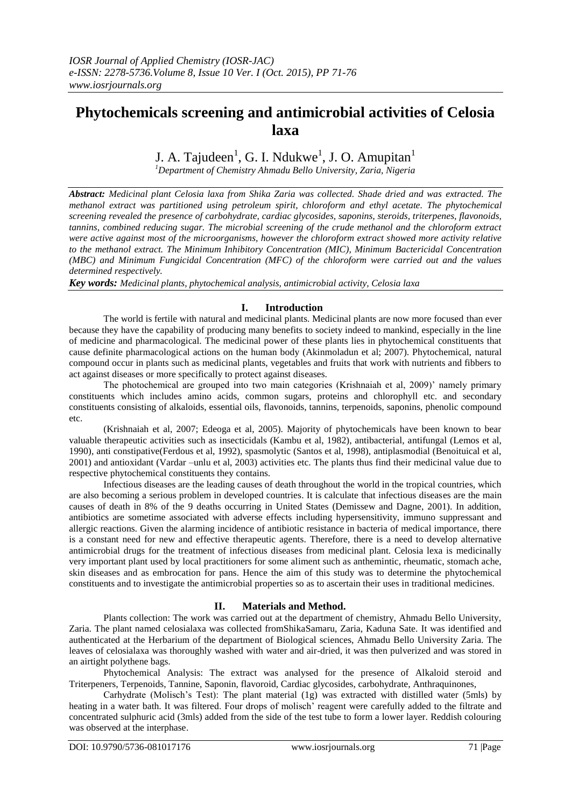# **Phytochemicals screening and antimicrobial activities of Celosia laxa**

# J. A. Tajudeen<sup>1</sup>, G. I. Ndukwe<sup>1</sup>, J. O. Amupitan<sup>1</sup>

*<sup>1</sup>Department of Chemistry Ahmadu Bello University, Zaria, Nigeria*

*Abstract: Medicinal plant Celosia laxa from Shika Zaria was collected. Shade dried and was extracted. The methanol extract was partitioned using petroleum spirit, chloroform and ethyl acetate. The phytochemical screening revealed the presence of carbohydrate, cardiac glycosides, saponins, steroids, triterpenes, flavonoids, tannins, combined reducing sugar. The microbial screening of the crude methanol and the chloroform extract were active against most of the microorganisms, however the chloroform extract showed more activity relative to the methanol extract. The Minimum Inhibitory Concentration (MIC), Minimum Bactericidal Concentration (MBC) and Minimum Fungicidal Concentration (MFC) of the chloroform were carried out and the values determined respectively.*

*Key words: Medicinal plants, phytochemical analysis, antimicrobial activity, Celosia laxa*

### **I. Introduction**

The world is fertile with natural and medicinal plants. Medicinal plants are now more focused than ever because they have the capability of producing many benefits to society indeed to mankind, especially in the line of medicine and pharmacological. The medicinal power of these plants lies in phytochemical constituents that cause definite pharmacological actions on the human body (Akinmoladun et al; 2007). Phytochemical, natural compound occur in plants such as medicinal plants, vegetables and fruits that work with nutrients and fibbers to act against diseases or more specifically to protect against diseases.

The photochemical are grouped into two main categories (Krishnaiah et al, 2009)' namely primary constituents which includes amino acids, common sugars, proteins and chlorophyll etc. and secondary constituents consisting of alkaloids, essential oils, flavonoids, tannins, terpenoids, saponins, phenolic compound etc.

(Krishnaiah et al, 2007; Edeoga et al, 2005). Majority of phytochemicals have been known to bear valuable therapeutic activities such as insecticidals (Kambu et al, 1982), antibacterial, antifungal (Lemos et al, 1990), anti constipative(Ferdous et al, 1992), spasmolytic (Santos et al, 1998), antiplasmodial (Benoituical et al, 2001) and antioxidant (Vardar –unlu et al, 2003) activities etc. The plants thus find their medicinal value due to respective phytochemical constituents they contains.

Infectious diseases are the leading causes of death throughout the world in the tropical countries, which are also becoming a serious problem in developed countries. It is calculate that infectious diseases are the main causes of death in 8% of the 9 deaths occurring in United States (Demissew and Dagne, 2001). In addition, antibiotics are sometime associated with adverse effects including hypersensitivity, immuno suppressant and allergic reactions. Given the alarming incidence of antibiotic resistance in bacteria of medical importance, there is a constant need for new and effective therapeutic agents. Therefore, there is a need to develop alternative antimicrobial drugs for the treatment of infectious diseases from medicinal plant. Celosia lexa is medicinally very important plant used by local practitioners for some aliment such as anthemintic, rheumatic, stomach ache, skin diseases and as embrocation for pans. Hence the aim of this study was to determine the phytochemical constituents and to investigate the antimicrobial properties so as to ascertain their uses in traditional medicines.

### **II. Materials and Method.**

Plants collection: The work was carried out at the department of chemistry, Ahmadu Bello University, Zaria. The plant named celosialaxa was collected fromShikaSamaru, Zaria, Kaduna Sate. It was identified and authenticated at the Herbarium of the department of Biological sciences, Ahmadu Bello University Zaria. The leaves of celosialaxa was thoroughly washed with water and air-dried, it was then pulverized and was stored in an airtight polythene bags.

Phytochemical Analysis: The extract was analysed for the presence of Alkaloid steroid and Triterpeners, Terpenoids, Tannine, Saponin, flavoroid, Cardiac glycosides, carbohydrate, Anthraquinones,

Carhydrate (Molisch's Test): The plant material (1g) was extracted with distilled water (5mls) by heating in a water bath. It was filtered. Four drops of molisch' reagent were carefully added to the filtrate and concentrated sulphuric acid (3mls) added from the side of the test tube to form a lower layer. Reddish colouring was observed at the interphase.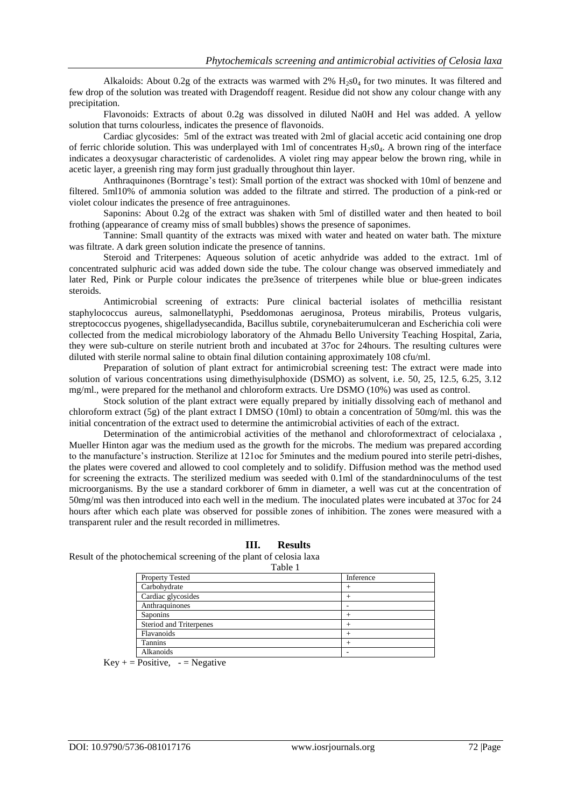Alkaloids: About 0.2g of the extracts was warmed with  $2\%$  H<sub>2</sub>s0<sub>4</sub> for two minutes. It was filtered and few drop of the solution was treated with Dragendoff reagent. Residue did not show any colour change with any precipitation.

Flavonoids: Extracts of about 0.2g was dissolved in diluted Na0H and Hel was added. A yellow solution that turns colourless, indicates the presence of flavonoids.

Cardiac glycosides: 5ml of the extract was treated with 2ml of glacial accetic acid containing one drop of ferric chloride solution. This was underplayed with 1ml of concentrates  $H_2s0_4$ . A brown ring of the interface indicates a deoxysugar characteristic of cardenolides. A violet ring may appear below the brown ring, while in acetic layer, a greenish ring may form just gradually throughout thin layer.

Anthraquinones (Borntrage's test): Small portion of the extract was shocked with 10ml of benzene and filtered. 5ml10% of ammonia solution was added to the filtrate and stirred. The production of a pink-red or violet colour indicates the presence of free antraguinones.

Saponins: About 0.2g of the extract was shaken with 5ml of distilled water and then heated to boil frothing (appearance of creamy miss of small bubbles) shows the presence of saponimes.

Tannine: Small quantity of the extracts was mixed with water and heated on water bath. The mixture was filtrate. A dark green solution indicate the presence of tannins.

Steroid and Triterpenes: Aqueous solution of acetic anhydride was added to the extract. 1ml of concentrated sulphuric acid was added down side the tube. The colour change was observed immediately and later Red, Pink or Purple colour indicates the pre3sence of triterpenes while blue or blue-green indicates steroids.

Antimicrobial screening of extracts: Pure clinical bacterial isolates of methcillia resistant staphylococcus aureus, salmonellatyphi, Pseddomonas aeruginosa, Proteus mirabilis, Proteus vulgaris, streptococcus pyogenes, shigelladysecandida, Bacillus subtile, corynebaiterumulceran and Escherichia coli were collected from the medical microbiology laboratory of the Ahmadu Bello University Teaching Hospital, Zaria, they were sub-culture on sterile nutrient broth and incubated at 37oc for 24hours. The resulting cultures were diluted with sterile normal saline to obtain final dilution containing approximately 108 cfu/ml.

Preparation of solution of plant extract for antimicrobial screening test: The extract were made into solution of various concentrations using dimethyisulphoxide (DSMO) as solvent, i.e. 50, 25, 12.5, 6.25, 3.12 mg/ml., were prepared for the methanol and chloroform extracts. Ure DSMO (10%) was used as control.

Stock solution of the plant extract were equally prepared by initially dissolving each of methanol and chloroform extract (5g) of the plant extract I DMSO (10ml) to obtain a concentration of 50mg/ml. this was the initial concentration of the extract used to determine the antimicrobial activities of each of the extract.

Determination of the antimicrobial activities of the methanol and chloroformextract of celocialaxa , Mueller Hinton agar was the medium used as the growth for the microbs. The medium was prepared according to the manufacture's instruction. Sterilize at 121oc for 5minutes and the medium poured into sterile petri-dishes, the plates were covered and allowed to cool completely and to solidify. Diffusion method was the method used for screening the extracts. The sterilized medium was seeded with 0.1ml of the standardninoculums of the test microorganisms. By the use a standard corkborer of 6mm in diameter, a well was cut at the concentration of 50mg/ml was then introduced into each well in the medium. The inoculated plates were incubated at 37oc for 24 hours after which each plate was observed for possible zones of inhibition. The zones were measured with a transparent ruler and the result recorded in millimetres.

### **III. Results**

Result of the photochemical screening of the plant of celosia laxa

| v<br>M.<br>۰,<br>$\sim$<br>× |  |
|------------------------------|--|
|------------------------------|--|

| <b>Property Tested</b>         | Inference |
|--------------------------------|-----------|
| Carbohydrate                   |           |
| Cardiac glycosides             |           |
| Anthraquinones                 |           |
| Saponins                       |           |
| <b>Steriod and Triterpenes</b> |           |
| Flavanoids                     |           |
| <b>Tannins</b>                 |           |
| Alkanoids                      |           |

 $Key + = Positive$ ,  $- = Negative$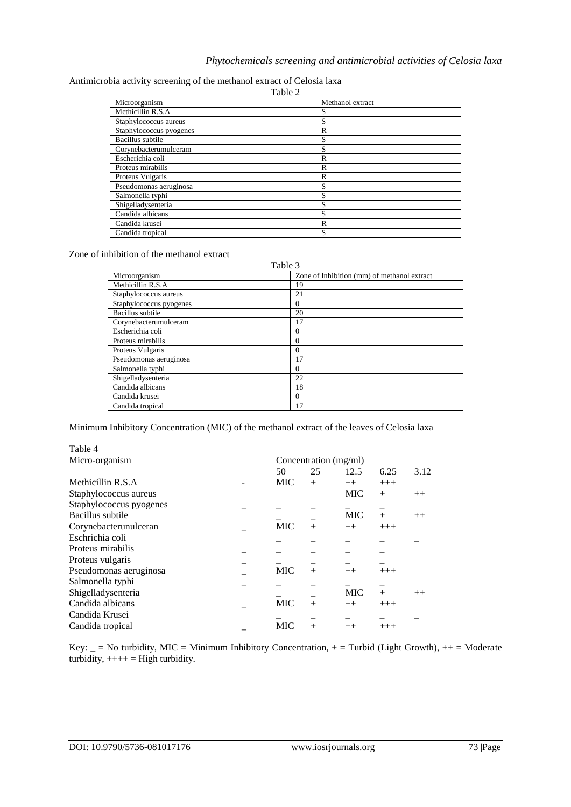| Antimicrobia activity screening of the methanol extract of Celosia laxa |                  |
|-------------------------------------------------------------------------|------------------|
| Table 2                                                                 |                  |
| Microorganism                                                           | Mothonol ovtroot |

| Microorganism           | Methanol extract |
|-------------------------|------------------|
| Methicillin R.S.A       | S                |
| Staphylococcus aureus   | S                |
| Staphylococcus pyogenes | R                |
| Bacillus subtile        | S                |
| Corynebacterumulceram   | S                |
| Escherichia coli        | R                |
| Proteus mirabilis       | R                |
| Proteus Vulgaris        | R                |
| Pseudomonas aeruginosa  | S                |
| Salmonella typhi        | S                |
| Shigelladysenteria      | S                |
| Candida albicans        | S                |
| Candida krusei          | R                |
| Candida tropical        | S                |

Zone of inhibition of the methanol extract

Table 3

| t aviv J                |                                             |  |  |  |  |  |
|-------------------------|---------------------------------------------|--|--|--|--|--|
| Microorganism           | Zone of Inhibition (mm) of methanol extract |  |  |  |  |  |
| Methicillin R.S.A       | 19                                          |  |  |  |  |  |
| Staphylococcus aureus   | 21                                          |  |  |  |  |  |
| Staphylococcus pyogenes | $\Omega$                                    |  |  |  |  |  |
| Bacillus subtile        | 20                                          |  |  |  |  |  |
| Corynebacterumulceram   | 17                                          |  |  |  |  |  |
| Escherichia coli        | $\Omega$                                    |  |  |  |  |  |
| Proteus mirabilis       | $\Omega$                                    |  |  |  |  |  |
| Proteus Vulgaris        | $\Omega$                                    |  |  |  |  |  |
| Pseudomonas aeruginosa  | 17                                          |  |  |  |  |  |
| Salmonella typhi        | $\Omega$                                    |  |  |  |  |  |
| Shigelladysenteria      | 22                                          |  |  |  |  |  |
| Candida albicans        | 18                                          |  |  |  |  |  |
| Candida krusei          | $\Omega$                                    |  |  |  |  |  |
| Candida tropical        | 17                                          |  |  |  |  |  |

Minimum Inhibitory Concentration (MIC) of the methanol extract of the leaves of Celosia laxa

| Table 4                 |                       |        |            |       |      |
|-------------------------|-----------------------|--------|------------|-------|------|
| Micro-organism          | Concentration (mg/ml) |        |            |       |      |
|                         | 50                    | 25     | 12.5       | 6.25  | 3.12 |
| Methicillin R.S.A       | MIC                   | $^{+}$ | $++$       | $+++$ |      |
| Staphylococcus aureus   |                       |        | <b>MIC</b> | $+$   | $++$ |
| Staphylococcus pyogenes |                       |        |            |       |      |
| Bacillus subtile        |                       |        | <b>MIC</b> | $+$   | $++$ |
| Corynebacterunulceran   | <b>MIC</b>            | $^{+}$ | $++$       | $+++$ |      |
| Eschrichia coli         |                       |        |            |       |      |
| Proteus mirabilis       |                       |        |            |       |      |
| Proteus vulgaris        |                       |        |            |       |      |
| Pseudomonas aeruginosa  | <b>MIC</b>            | $^{+}$ | $++$       | $+++$ |      |
| Salmonella typhi        |                       |        |            |       |      |
| Shigelladysenteria      |                       |        | <b>MIC</b> | $+$   | $++$ |
| Candida albicans        | <b>MIC</b>            | $^{+}$ | $++$       | $+++$ |      |
| Candida Krusei          |                       |        |            |       |      |
| Candida tropical        | <b>MIC</b>            | $^{+}$ | $++$       | $+++$ |      |
|                         |                       |        |            |       |      |

Key:  $=$  = No turbidity, MIC = Minimum Inhibitory Concentration, + = Turbid (Light Growth), ++ = Moderate turbidity,  $+++=$  High turbidity.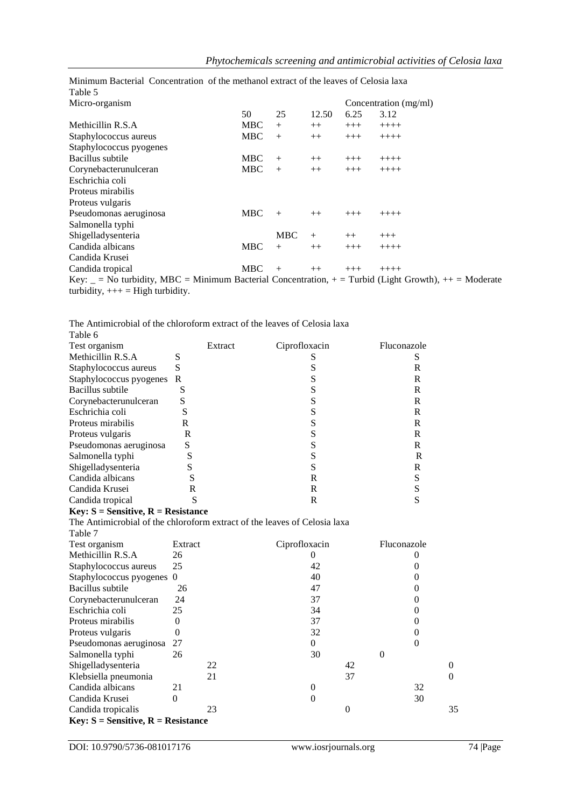| Table 5                                                                                                    |            |            |       |          |                       |
|------------------------------------------------------------------------------------------------------------|------------|------------|-------|----------|-----------------------|
| Micro-organism                                                                                             |            |            |       |          | Concentration (mg/ml) |
|                                                                                                            | 50         | 25         | 12.50 | 6.25     | 3.12                  |
| Methicillin R.S.A                                                                                          | <b>MBC</b> | $+$        | $++$  | $+++$    | $+++++$               |
| Staphylococcus aureus                                                                                      | <b>MBC</b> | $+$        | $++$  | $+++$    | $+++++$               |
| Staphylococcus pyogenes                                                                                    |            |            |       |          |                       |
| Bacillus subtile                                                                                           | <b>MBC</b> | $+$        | $++$  | $^{+++}$ | $+++++$               |
| Corynebacterunulceran                                                                                      | <b>MBC</b> | $+$        | $++$  | $+++$    | $+++++$               |
| Eschrichia coli                                                                                            |            |            |       |          |                       |
| Proteus mirabilis                                                                                          |            |            |       |          |                       |
| Proteus vulgaris                                                                                           |            |            |       |          |                       |
| Pseudomonas aeruginosa                                                                                     | <b>MBC</b> | $+$        | $++$  | $+++$    | $++++$                |
| Salmonella typhi                                                                                           |            |            |       |          |                       |
| Shigelladysenteria                                                                                         |            | <b>MBC</b> | $+$   | $++$     | $+++$                 |
| Candida albicans                                                                                           | <b>MBC</b> | $+$        | $++$  | $+++$    | $+++++$               |
| Candida Krusei                                                                                             |            |            |       |          |                       |
| Candida tropical                                                                                           | <b>MBC</b> | $+$        | $++$  | $+++$    | $++++$                |
| Key: $=$ No turbidity, MBC = Minimum Bacterial Concentration, $+$ = Turbid (Light Growth), $++$ = Moderate |            |            |       |          |                       |

Minimum Bacterial Concentration of the methanol extract of the leaves of Celosia laxa Table 5

The Antimicrobial of the chloroform extract of the leaves of Celosia laxa

| Table 6                 |   |         |               |             |
|-------------------------|---|---------|---------------|-------------|
| Test organism           |   | Extract | Ciprofloxacin | Fluconazole |
| Methicillin R.S.A       | S |         |               |             |
| Staphylococcus aureus   | S |         |               | R           |
| Staphylococcus pyogenes | R |         | c             | R           |
| Bacillus subtile        | S |         |               | R           |
| Corynebacterunulceran   | S |         |               | R           |
| Eschrichia coli         | S |         | c             | R           |
| Proteus mirabilis       | R |         |               | R           |
| Proteus vulgaris        | R |         |               | R           |
| Pseudomonas aeruginosa  | S |         | c             | R           |
| Salmonella typhi        |   |         |               | R           |
| Shigelladysenteria      |   |         | S             | R           |
| Candida albicans        |   |         | R             | S           |
| Candida Krusei          | R |         | R             |             |
| Candida tropical        | S |         |               |             |

#### **Key: S = Sensitive, R = Resistance**

turbidity,  $++=$  High turbidity.

The Antimicrobial of the chloroform extract of the leaves of Celosia laxa Table 7

| Test organism                                 | Extract | Ciprofloxacin | Fluconazole |    |          |
|-----------------------------------------------|---------|---------------|-------------|----|----------|
| Methicillin R.S.A                             | 26      |               |             |    |          |
| Staphylococcus aureus                         | 25      | 42            |             |    |          |
| Staphylococcus pyogenes 0                     |         | 40            |             |    |          |
| Bacillus subtile                              | 26      | 47            |             |    |          |
| Corynebacterunulceran                         | 24      | 37            |             |    |          |
| Eschrichia coli                               | 25      | 34            |             |    |          |
| Proteus mirabilis                             |         | 37            |             |    |          |
| Proteus vulgaris                              |         | 32            |             |    |          |
| Pseudomonas aeruginosa                        | 27      | 0             |             |    |          |
| Salmonella typhi                              | 26      | 30            | 0           |    |          |
| Shigelladysenteria                            | 22      |               | 42          |    | $\Omega$ |
| Klebsiella pneumonia                          | 21      |               | 37          |    | $\theta$ |
| Candida albicans                              | 21      | $\Omega$      |             | 32 |          |
| Candida Krusei                                | 0       |               |             | 30 |          |
| Candida tropicalis                            | 23      | 0             |             |    | 35       |
| <b>Key:</b> $S =$ Sensitive, $R =$ Resistance |         |               |             |    |          |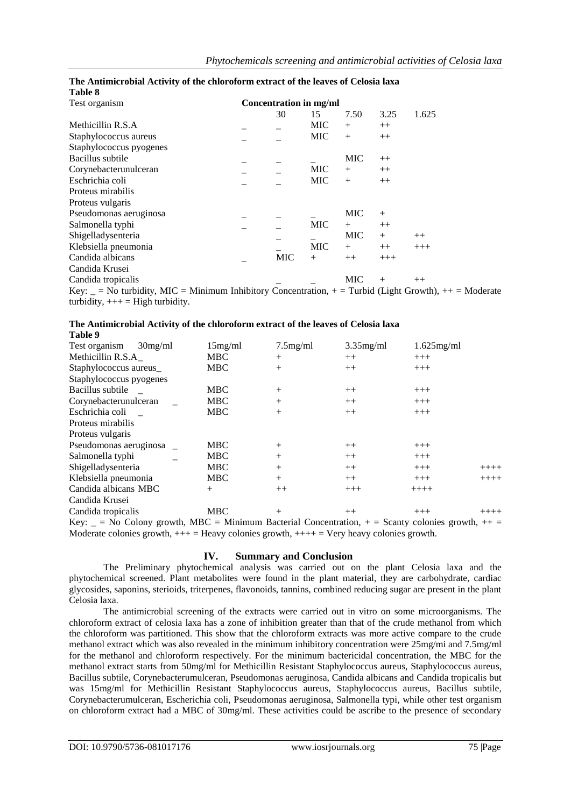| таше о                                                                                                      |                        |            |            |            |         |       |  |
|-------------------------------------------------------------------------------------------------------------|------------------------|------------|------------|------------|---------|-------|--|
| Test organism                                                                                               | Concentration in mg/ml |            |            |            |         |       |  |
|                                                                                                             |                        | 30         | 15         | 7.50       | 3.25    | 1.625 |  |
| Methicillin R.S.A                                                                                           |                        |            | MIC        | $^{+}$     | $++$    |       |  |
| Staphylococcus aureus                                                                                       |                        |            | <b>MIC</b> | $^{+}$     | $++$    |       |  |
| Staphylococcus pyogenes                                                                                     |                        |            |            |            |         |       |  |
| Bacillus subtile                                                                                            |                        |            |            | <b>MIC</b> | $++$    |       |  |
| Corynebacterunulceran                                                                                       |                        |            | <b>MIC</b> | $^{+}$     | $++$    |       |  |
| Eschrichia coli                                                                                             |                        |            | <b>MIC</b> | $+$        | $++$    |       |  |
| Proteus mirabilis                                                                                           |                        |            |            |            |         |       |  |
| Proteus vulgaris                                                                                            |                        |            |            |            |         |       |  |
| Pseudomonas aeruginosa                                                                                      |                        |            |            | MIC        | $^{+}$  |       |  |
| Salmonella typhi                                                                                            |                        |            | <b>MIC</b> | $^{+}$     | $^{++}$ |       |  |
| Shigelladysenteria                                                                                          |                        |            |            | <b>MIC</b> | $+$     | $++$  |  |
| Klebsiella pneumonia                                                                                        |                        |            | <b>MIC</b> | $+$        | $++$    | $+++$ |  |
| Candida albicans                                                                                            |                        | <b>MIC</b> | $^{+}$     | $++$       | $+++$   |       |  |
| Candida Krusei                                                                                              |                        |            |            |            |         |       |  |
| Candida tropicalis                                                                                          |                        |            |            | <b>MIC</b> | $+$     | $++$  |  |
| Key: $=$ No turbidity, MIC = Minimum Inhibitory Concentration, $+$ = Turbid (Light Growth), $++$ = Moderate |                        |            |            |            |         |       |  |
| turbidity, $++=$ High turbidity.                                                                            |                        |            |            |            |         |       |  |

#### **The Antimicrobial Activity of the chloroform extract of the leaves of Celosia laxa Table 8**

**The Antimicrobial Activity of the chloroform extract of the leaves of Celosia laxa**

| Table 9                  |            |                |              |               |        |
|--------------------------|------------|----------------|--------------|---------------|--------|
| Test organism<br>30mg/ml | 15mg/ml    | $7.5$ mg/ml    | $3.35$ mg/ml | $1.625$ mg/ml |        |
| Methicillin R.S.A        | <b>MBC</b> | $^{+}$         | $++$         | $+++$         |        |
| Staphylococcus aureus_   | <b>MBC</b> | $^{+}$         | $++$         | $+++$         |        |
| Staphylococcus pyogenes  |            |                |              |               |        |
| Bacillus subtile         | <b>MBC</b> | $^{+}$         | $^{++}$      | $+++$         |        |
| Corynebacterunulceran    | <b>MBC</b> | $^{+}$         | $++$         | $+++$         |        |
| Eschrichia coli          | <b>MBC</b> | $^{+}$         | $++$         | $+++$         |        |
| Proteus mirabilis        |            |                |              |               |        |
| Proteus vulgaris         |            |                |              |               |        |
| Pseudomonas aeruginosa   | <b>MBC</b> | $^{+}$         | $++$         | $+++$         |        |
| Salmonella typhi         | <b>MBC</b> | $^{+}$         | $++$         | $+++$         |        |
| Shigelladysenteria       | <b>MBC</b> | $^{+}$         | $++$         | $+++$         | $++++$ |
| Klebsiella pneumonia     | <b>MBC</b> | $^{+}$         | $++$         | $+++$         | $++++$ |
| Candida albicans MBC     | $+$        | $^{++}$        | $+++$        | $++++$        |        |
| Candida Krusei           |            |                |              |               |        |
| Candida tropicalis       | <b>MBC</b> | $^{+}$         | $++$         | $^{+++}$      |        |
|                          | $\cdots$   | $\cdot$ $\sim$ |              |               |        |

Key:  $\equiv$  = No Colony growth, MBC = Minimum Bacterial Concentration, + = Scanty colonies growth, ++ = Moderate colonies growth,  $+++$  = Heavy colonies growth,  $++++$  = Very heavy colonies growth.

## **IV. Summary and Conclusion**

The Preliminary phytochemical analysis was carried out on the plant Celosia laxa and the phytochemical screened. Plant metabolites were found in the plant material, they are carbohydrate, cardiac glycosides, saponins, sterioids, triterpenes, flavonoids, tannins, combined reducing sugar are present in the plant Celosia laxa.

The antimicrobial screening of the extracts were carried out in vitro on some microorganisms. The chloroform extract of celosia laxa has a zone of inhibition greater than that of the crude methanol from which the chloroform was partitioned. This show that the chloroform extracts was more active compare to the crude methanol extract which was also revealed in the minimum inhibitory concentration were 25mg/mi and 7.5mg/ml for the methanol and chloroform respectively. For the minimum bactericidal concentration, the MBC for the methanol extract starts from 50mg/ml for Methicillin Resistant Staphylococcus aureus, Staphylococcus aureus, Bacillus subtile, Corynebacterumulceran, Pseudomonas aeruginosa, Candida albicans and Candida tropicalis but was 15mg/ml for Methicillin Resistant Staphylococcus aureus, Staphylococcus aureus, Bacillus subtile, Corynebacterumulceran, Escherichia coli, Pseudomonas aeruginosa, Salmonella typi, while other test organism on chloroform extract had a MBC of 30mg/ml. These activities could be ascribe to the presence of secondary